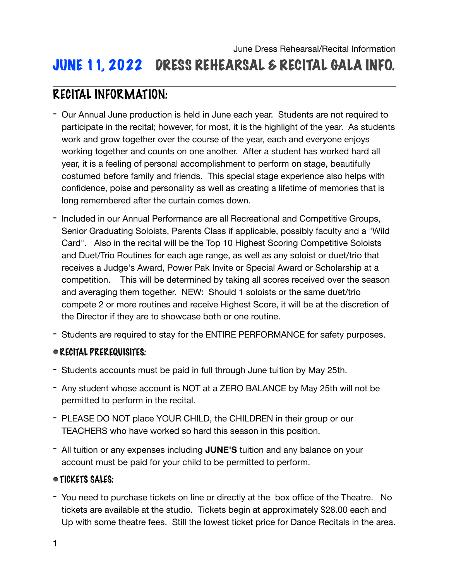# JUNE 11, 2022 DRESS REHEARSAL & RECITAL GALA INFO.

# RECITAL INFORMATION:

- Our Annual June production is held in June each year. Students are not required to participate in the recital; however, for most, it is the highlight of the year. As students work and grow together over the course of the year, each and everyone enjoys working together and counts on one another. After a student has worked hard all year, it is a feeling of personal accomplishment to perform on stage, beautifully costumed before family and friends. This special stage experience also helps with confidence, poise and personality as well as creating a lifetime of memories that is long remembered after the curtain comes down.
- Included in our Annual Performance are all Recreational and Competitive Groups, Senior Graduating Soloists, Parents Class if applicable, possibly faculty and a "Wild Card". Also in the recital will be the Top 10 Highest Scoring Competitive Soloists and Duet/Trio Routines for each age range, as well as any soloist or duet/trio that receives a Judge's Award, Power Pak Invite or Special Award or Scholarship at a competition. This will be determined by taking all scores received over the season and averaging them together. NEW: Should 1 soloists or the same duet/trio compete 2 or more routines and receive Highest Score, it will be at the discretion of the Director if they are to showcase both or one routine.
- Students are required to stay for the ENTIRE PERFORMANCE for safety purposes.

# RECITAL PREREQUISITES:

- Students accounts must be paid in full through June tuition by May 25th.
- Any student whose account is NOT at a ZERO BALANCE by May 25th will not be permitted to perform in the recital.
- PLEASE DO NOT place YOUR CHILD, the CHILDREN in their group or our TEACHERS who have worked so hard this season in this position.
- All tuition or any expenses including **JUNE'S** tuition and any balance on your account must be paid for your child to be permitted to perform.

# TICKETS SALES:

- You need to purchase tickets on line or directly at the box office of the Theatre. No tickets are available at the studio. Tickets begin at approximately \$28.00 each and Up with some theatre fees. Still the lowest ticket price for Dance Recitals in the area.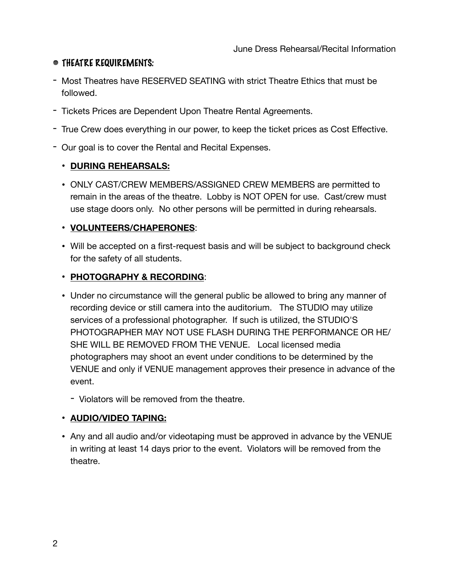# THEATRE REQUIREMENTS:

- Most Theatres have RESERVED SEATING with strict Theatre Ethics that must be followed.
- Tickets Prices are Dependent Upon Theatre Rental Agreements.
- True Crew does everything in our power, to keep the ticket prices as Cost Effective.
- Our goal is to cover the Rental and Recital Expenses.

# • **DURING REHEARSALS:**

• ONLY CAST/CREW MEMBERS/ASSIGNED CREW MEMBERS are permitted to remain in the areas of the theatre. Lobby is NOT OPEN for use. Cast/crew must use stage doors only. No other persons will be permitted in during rehearsals.

### • **VOLUNTEERS/CHAPERONES**:

• Will be accepted on a first-request basis and will be subject to background check for the safety of all students.

### • **PHOTOGRAPHY & RECORDING**:

- Under no circumstance will the general public be allowed to bring any manner of recording device or still camera into the auditorium. The STUDIO may utilize services of a professional photographer. If such is utilized, the STUDIO'S PHOTOGRAPHER MAY NOT USE FLASH DURING THE PERFORMANCE OR HE/ SHE WILL BE REMOVED FROM THE VENUE. Local licensed media photographers may shoot an event under conditions to be determined by the VENUE and only if VENUE management approves their presence in advance of the event.
	- Violators will be removed from the theatre.

# • **AUDIO/VIDEO TAPING:**

• Any and all audio and/or videotaping must be approved in advance by the VENUE in writing at least 14 days prior to the event. Violators will be removed from the theatre.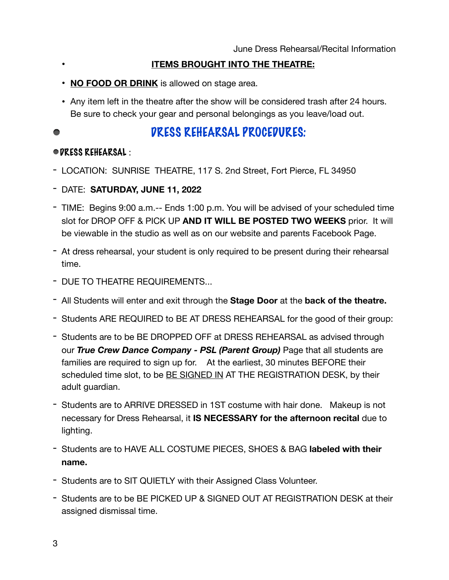- **ITEMS BROUGHT INTO THE THEATRE:**
- **NO FOOD OR DRINK** is allowed on stage area.
- Any item left in the theatre after the show will be considered trash after 24 hours. Be sure to check your gear and personal belongings as you leave/load out.

#### DRESS REHEARSAL PROCEDURES:  $\bullet$

### DRESS REHEARSAL :

- LOCATION: SUNRISE THEATRE, 117 S. 2nd Street, Fort Pierce, FL 34950
- DATE: **SATURDAY, JUNE 11, 2022**
- TIME: Begins 9:00 a.m.-- Ends 1:00 p.m. You will be advised of your scheduled time slot for DROP OFF & PICK UP **AND IT WILL BE POSTED TWO WEEKS** prior. It will be viewable in the studio as well as on our website and parents Facebook Page.
- At dress rehearsal, your student is only required to be present during their rehearsal time.
- DUE TO THEATRE REQUIREMENTS...
- All Students will enter and exit through the **Stage Door** at the **back of the theatre.**
- Students ARE REQUIRED to BE AT DRESS REHEARSAL for the good of their group:
- Students are to be BE DROPPED OFF at DRESS REHEARSAL as advised through our *True Crew Dance Company - PSL (Parent Group)* Page that all students are families are required to sign up for. At the earliest, 30 minutes BEFORE their scheduled time slot, to be BE SIGNED IN AT THE REGISTRATION DESK, by their adult guardian.
- Students are to ARRIVE DRESSED in 1ST costume with hair done. Makeup is not necessary for Dress Rehearsal, it **IS NECESSARY for the afternoon recital** due to lighting.
- Students are to HAVE ALL COSTUME PIECES, SHOES & BAG **labeled with their name.**
- Students are to SIT QUIETLY with their Assigned Class Volunteer.
- Students are to be BE PICKED UP & SIGNED OUT AT REGISTRATION DESK at their assigned dismissal time.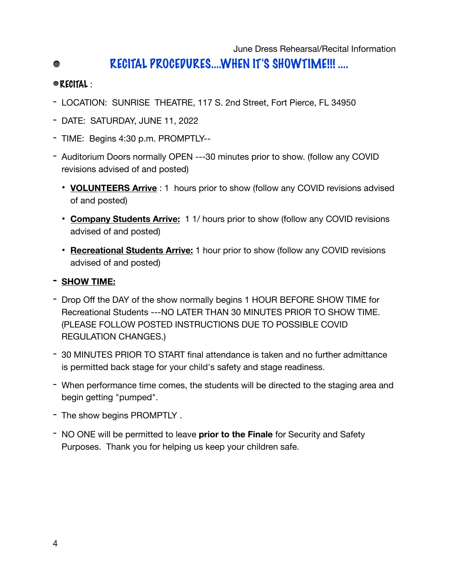# RECITAL PROCEDURES....WHEN IT'S SHOWTIME!!! ....

# RECITAL :

- LOCATION: SUNRISE THEATRE, 117 S. 2nd Street, Fort Pierce, FL 34950
- DATE: SATURDAY, JUNE 11, 2022
- TIME: Begins 4:30 p.m. PROMPTLY--
- Auditorium Doors normally OPEN ---30 minutes prior to show. (follow any COVID revisions advised of and posted)
	- **VOLUNTEERS Arrive** : 1 hours prior to show (follow any COVID revisions advised of and posted)
	- **Company Students Arrive:** 1 1/ hours prior to show (follow any COVID revisions advised of and posted)
	- **Recreational Students Arrive:** 1 hour prior to show (follow any COVID revisions advised of and posted)

# **- SHOW TIME:**

- Drop Off the DAY of the show normally begins 1 HOUR BEFORE SHOW TIME for Recreational Students ---NO LATER THAN 30 MINUTES PRIOR TO SHOW TIME. (PLEASE FOLLOW POSTED INSTRUCTIONS DUE TO POSSIBLE COVID REGULATION CHANGES.)
- 30 MINUTES PRIOR TO START final attendance is taken and no further admittance is permitted back stage for your child's safety and stage readiness.
- When performance time comes, the students will be directed to the staging area and begin getting "pumped".
- The show begins PROMPTLY .
- NO ONE will be permitted to leave **prior to the Finale** for Security and Safety Purposes. Thank you for helping us keep your children safe.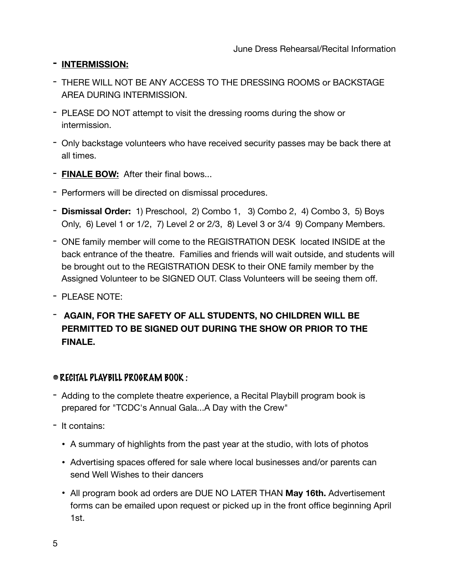# **- INTERMISSION:**

- THERE WILL NOT BE ANY ACCESS TO THE DRESSING ROOMS or BACKSTAGE AREA DURING INTERMISSION.
- PLEASE DO NOT attempt to visit the dressing rooms during the show or intermission.
- Only backstage volunteers who have received security passes may be back there at all times.
- **FINALE BOW:** After their final bows...
- Performers will be directed on dismissal procedures.
- **Dismissal Order:** 1) Preschool, 2) Combo 1, 3) Combo 2, 4) Combo 3, 5) Boys Only, 6) Level 1 or 1/2, 7) Level 2 or 2/3, 8) Level 3 or 3/4 9) Company Members.
- ONE family member will come to the REGISTRATION DESK located INSIDE at the back entrance of the theatre. Families and friends will wait outside, and students will be brought out to the REGISTRATION DESK to their ONE family member by the Assigned Volunteer to be SIGNED OUT. Class Volunteers will be seeing them off.
- PLEASE NOTE:
- **AGAIN, FOR THE SAFETY OF ALL STUDENTS, NO CHILDREN WILL BE PERMITTED TO BE SIGNED OUT DURING THE SHOW OR PRIOR TO THE FINALE.**

# RECITAL PLAYBILL PROGRAM BOOK :

- Adding to the complete theatre experience, a Recital Playbill program book is prepared for "TCDC's Annual Gala...A Day with the Crew"
- It contains:
	- A summary of highlights from the past year at the studio, with lots of photos
	- Advertising spaces offered for sale where local businesses and/or parents can send Well Wishes to their dancers
	- All program book ad orders are DUE NO LATER THAN **May 16th.** Advertisement forms can be emailed upon request or picked up in the front office beginning April 1st.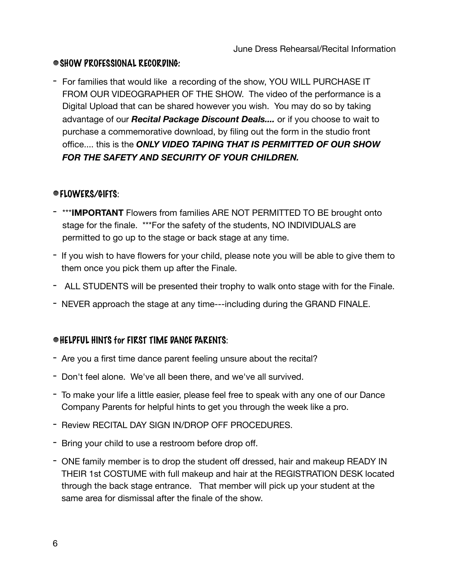# SHOW PROFESSIONAL RECORDING:

- For families that would like a recording of the show, YOU WILL PURCHASE IT FROM OUR VIDEOGRAPHER OF THE SHOW. The video of the performance is a Digital Upload that can be shared however you wish. You may do so by taking advantage of our *Recital Package Discount Deals....* or if you choose to wait to purchase a commemorative download, by filing out the form in the studio front office.... this is the *ONLY VIDEO TAPING THAT IS PERMITTED OF OUR SHOW FOR THE SAFETY AND SECURITY OF YOUR CHILDREN.* 

# FLOWERS/GIFTS:

- \*\*\***IMPORTANT** Flowers from families ARE NOT PERMITTED TO BE brought onto stage for the finale. \*\*\*For the safety of the students, NO INDIVIDUALS are permitted to go up to the stage or back stage at any time.
- If you wish to have flowers for your child, please note you will be able to give them to them once you pick them up after the Finale.
- ALL STUDENTS will be presented their trophy to walk onto stage with for the Finale.
- NEVER approach the stage at any time---including during the GRAND FINALE.

# HELPFUL HINTS for FIRST TIME DANCE PARENTS:

- Are you a first time dance parent feeling unsure about the recital?
- Don't feel alone. We've all been there, and we've all survived.
- To make your life a little easier, please feel free to speak with any one of our Dance Company Parents for helpful hints to get you through the week like a pro.
- Review RECITAL DAY SIGN IN/DROP OFF PROCEDURES.
- Bring your child to use a restroom before drop off.
- ONE family member is to drop the student off dressed, hair and makeup READY IN THEIR 1st COSTUME with full makeup and hair at the REGISTRATION DESK located through the back stage entrance. That member will pick up your student at the same area for dismissal after the finale of the show.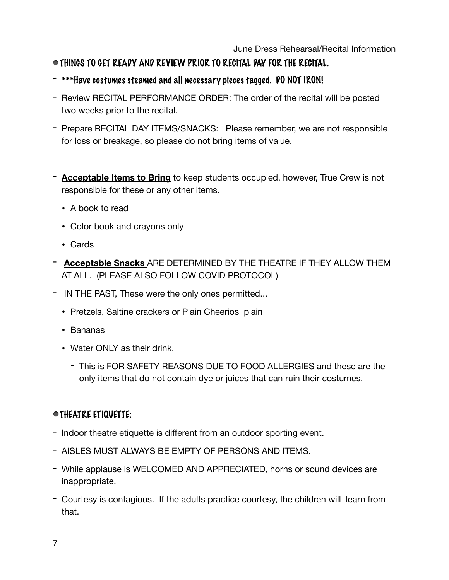# THINGS TO GET READY AND REVIEW PRIOR TO RECITAL DAY FOR THE RECITAL.

- \*\*\*Have costumes steamed and all necessary pieces tagged. DO NOT IRON!
- Review RECITAL PERFORMANCE ORDER: The order of the recital will be posted two weeks prior to the recital.
- Prepare RECITAL DAY ITEMS/SNACKS: Please remember, we are not responsible for loss or breakage, so please do not bring items of value.
- **Acceptable Items to Bring** to keep students occupied, however, True Crew is not responsible for these or any other items.
	- A book to read
	- Color book and crayons only
	- Cards
- **Acceptable Snacks** ARE DETERMINED BY THE THEATRE IF THEY ALLOW THEM AT ALL. (PLEASE ALSO FOLLOW COVID PROTOCOL)
- IN THE PAST, These were the only ones permitted...
	- Pretzels, Saltine crackers or Plain Cheerios plain
	- Bananas
	- Water ONI Y as their drink.
		- This is FOR SAFETY REASONS DUE TO FOOD ALLERGIES and these are the only items that do not contain dye or juices that can ruin their costumes.

# THEATRE ETIQUETTE:

- Indoor theatre etiquette is different from an outdoor sporting event.
- AISLES MUST ALWAYS BE EMPTY OF PERSONS AND ITEMS.
- While applause is WELCOMED AND APPRECIATED, horns or sound devices are inappropriate.
- Courtesy is contagious. If the adults practice courtesy, the children will learn from that.